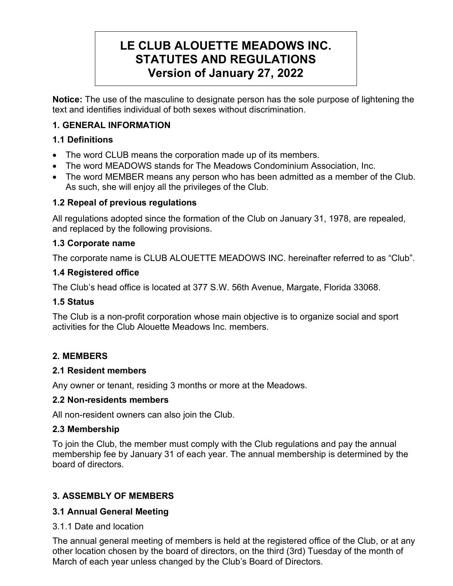# LE CLUB ALOUETTE MEADOWS INC. STATUTES AND REGULATIONS Version of January 27, 2022

Notice: The use of the masculine to designate person has the sole purpose of lightening the text and identifies individual of both sexes without discrimination.

# 1. GENERAL INFORMATION

# 1.1 Definitions

- The word CLUB means the corporation made up of its members.
- The word MEADOWS stands for The Meadows Condominium Association, Inc.
- The word MEMBER means any person who has been admitted as a member of the Club. As such, she will enjoy all the privileges of the Club.

# 1.2 Repeal of previous regulations

All regulations adopted since the formation of the Club on January 31, 1978, are repealed, and replaced by the following provisions.

# 1.3 Corporate name

The corporate name is CLUB ALOUETTE MEADOWS INC. hereinafter referred to as "Club".

# 1.4 Registered office

The Club's head office is located at 377 S.W. 56th Avenue, Margate, Florida 33068.

# 1.5 Status

The Club is a non-profit corporation whose main objective is to organize social and sport activities for the Club Alouette Meadows Inc. members.

# 2. MEMBERS

# 2.1 Resident members

Any owner or tenant, residing 3 months or more at the Meadows.

# 2.2 Non-residents members

All non-resident owners can also join the Club.

# 2.3 Membership

To join the Club, the member must comply with the Club regulations and pay the annual membership fee by January 31 of each year. The annual membership is determined by the board of directors.

# 3. ASSEMBLY OF MEMBERS

# 3.1 Annual General Meeting

3.1.1 Date and location

The annual general meeting of members is held at the registered office of the Club, or at any other location chosen by the board of directors, on the third (3rd) Tuesday of the month of March of each year unless changed by the Club's Board of Directors.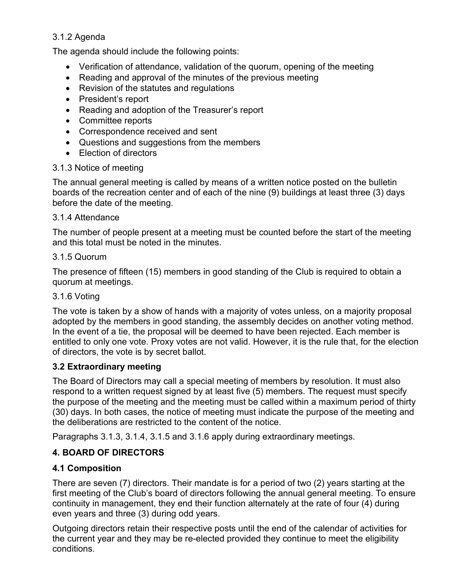# 3.1.2 Agenda

The agenda should include the following points:

- Verification of attendance, validation of the quorum, opening of the meeting
- Reading and approval of the minutes of the previous meeting
- Revision of the statutes and regulations
- President's report
- Reading and adoption of the Treasurer's report
- Committee reports
- Correspondence received and sent
- Questions and suggestions from the members
- Flection of directors

# 3.1.3 Notice of meeting

The annual general meeting is called by means of a written notice posted on the bulletin boards of the recreation center and of each of the nine (9) buildings at least three (3) days before the date of the meeting.

# 3.1.4 Attendance

The number of people present at a meeting must be counted before the start of the meeting and this total must be noted in the minutes.

# 3.1.5 Quorum

The presence of fifteen (15) members in good standing of the Club is required to obtain a quorum at meetings.

# 3.1.6 Voting

The vote is taken by a show of hands with a majority of votes unless, on a majority proposal adopted by the members in good standing, the assembly decides on another voting method. In the event of a tie, the proposal will be deemed to have been rejected. Each member is entitled to only one vote. Proxy votes are not valid. However, it is the rule that, for the election of directors, the vote is by secret ballot.

# 3.2 Extraordinary meeting

The Board of Directors may call a special meeting of members by resolution. It must also respond to a written request signed by at least five (5) members. The request must specify the purpose of the meeting and the meeting must be called within a maximum period of thirty (30) days. In both cases, the notice of meeting must indicate the purpose of the meeting and the deliberations are restricted to the content of the notice.

Paragraphs 3.1.3, 3.1.4, 3.1.5 and 3.1.6 apply during extraordinary meetings.

# 4. BOARD OF DIRECTORS

# 4.1 Composition

There are seven (7) directors. Their mandate is for a period of two (2) years starting at the first meeting of the Club's board of directors following the annual general meeting. To ensure continuity in management, they end their function alternately at the rate of four (4) during even years and three (3) during odd years.

Outgoing directors retain their respective posts until the end of the calendar of activities for the current year and they may be re-elected provided they continue to meet the eligibility conditions.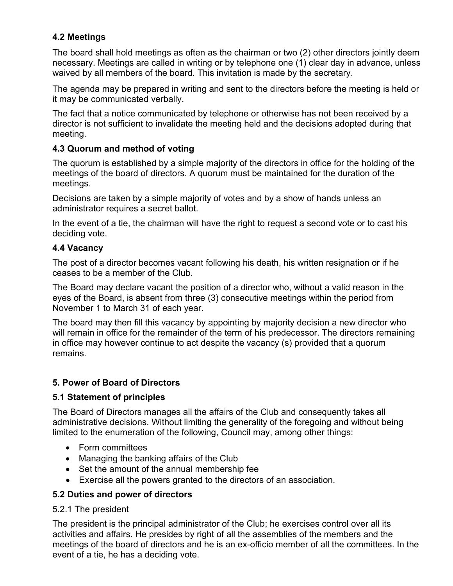# 4.2 Meetings

The board shall hold meetings as often as the chairman or two (2) other directors jointly deem necessary. Meetings are called in writing or by telephone one (1) clear day in advance, unless waived by all members of the board. This invitation is made by the secretary.

The agenda may be prepared in writing and sent to the directors before the meeting is held or it may be communicated verbally.

The fact that a notice communicated by telephone or otherwise has not been received by a director is not sufficient to invalidate the meeting held and the decisions adopted during that meeting.

# 4.3 Quorum and method of voting

The quorum is established by a simple majority of the directors in office for the holding of the meetings of the board of directors. A quorum must be maintained for the duration of the meetings.

Decisions are taken by a simple majority of votes and by a show of hands unless an administrator requires a secret ballot.

In the event of a tie, the chairman will have the right to request a second vote or to cast his deciding vote.

#### 4.4 Vacancy

The post of a director becomes vacant following his death, his written resignation or if he ceases to be a member of the Club.

The Board may declare vacant the position of a director who, without a valid reason in the eyes of the Board, is absent from three (3) consecutive meetings within the period from November 1 to March 31 of each year.

The board may then fill this vacancy by appointing by majority decision a new director who will remain in office for the remainder of the term of his predecessor. The directors remaining in office may however continue to act despite the vacancy (s) provided that a quorum remains.

# 5. Power of Board of Directors

# 5.1 Statement of principles

The Board of Directors manages all the affairs of the Club and consequently takes all administrative decisions. Without limiting the generality of the foregoing and without being limited to the enumeration of the following, Council may, among other things:

- Form committees
- Managing the banking affairs of the Club
- Set the amount of the annual membership fee
- Exercise all the powers granted to the directors of an association.

#### 5.2 Duties and power of directors

#### 5.2.1 The president

The president is the principal administrator of the Club; he exercises control over all its activities and affairs. He presides by right of all the assemblies of the members and the meetings of the board of directors and he is an ex-officio member of all the committees. In the event of a tie, he has a deciding vote.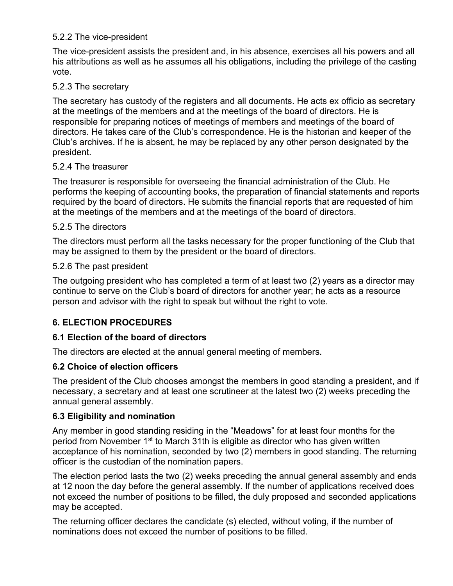### 5.2.2 The vice-president

The vice-president assists the president and, in his absence, exercises all his powers and all his attributions as well as he assumes all his obligations, including the privilege of the casting vote.

#### 5.2.3 The secretary

The secretary has custody of the registers and all documents. He acts ex officio as secretary at the meetings of the members and at the meetings of the board of directors. He is responsible for preparing notices of meetings of members and meetings of the board of directors. He takes care of the Club's correspondence. He is the historian and keeper of the Club's archives. If he is absent, he may be replaced by any other person designated by the president.

#### 5.2.4 The treasurer

The treasurer is responsible for overseeing the financial administration of the Club. He performs the keeping of accounting books, the preparation of financial statements and reports required by the board of directors. He submits the financial reports that are requested of him at the meetings of the members and at the meetings of the board of directors.

#### 5.2.5 The directors

The directors must perform all the tasks necessary for the proper functioning of the Club that may be assigned to them by the president or the board of directors.

#### 5.2.6 The past president

The outgoing president who has completed a term of at least two (2) years as a director may continue to serve on the Club's board of directors for another year; he acts as a resource person and advisor with the right to speak but without the right to vote.

# 6. ELECTION PROCEDURES

# 6.1 Election of the board of directors

The directors are elected at the annual general meeting of members.

#### 6.2 Choice of election officers

The president of the Club chooses amongst the members in good standing a president, and if necessary, a secretary and at least one scrutineer at the latest two (2) weeks preceding the annual general assembly.

#### 6.3 Eligibility and nomination

Any member in good standing residing in the "Meadows" for at least four months for the period from November 1<sup>st</sup> to March 31th is eligible as director who has given written acceptance of his nomination, seconded by two (2) members in good standing. The returning officer is the custodian of the nomination papers.

The election period lasts the two (2) weeks preceding the annual general assembly and ends at 12 noon the day before the general assembly. If the number of applications received does not exceed the number of positions to be filled, the duly proposed and seconded applications may be accepted.

The returning officer declares the candidate (s) elected, without voting, if the number of nominations does not exceed the number of positions to be filled.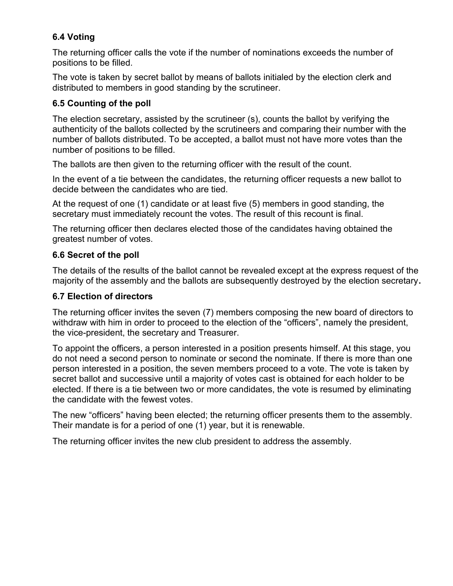# 6.4 Voting

The returning officer calls the vote if the number of nominations exceeds the number of positions to be filled.

The vote is taken by secret ballot by means of ballots initialed by the election clerk and distributed to members in good standing by the scrutineer.

# 6.5 Counting of the poll

The election secretary, assisted by the scrutineer (s), counts the ballot by verifying the authenticity of the ballots collected by the scrutineers and comparing their number with the number of ballots distributed. To be accepted, a ballot must not have more votes than the number of positions to be filled.

The ballots are then given to the returning officer with the result of the count.

In the event of a tie between the candidates, the returning officer requests a new ballot to decide between the candidates who are tied.

At the request of one (1) candidate or at least five (5) members in good standing, the secretary must immediately recount the votes. The result of this recount is final.

The returning officer then declares elected those of the candidates having obtained the greatest number of votes.

# 6.6 Secret of the poll

The details of the results of the ballot cannot be revealed except at the express request of the majority of the assembly and the ballots are subsequently destroyed by the election secretary.

# 6.7 Election of directors

The returning officer invites the seven (7) members composing the new board of directors to withdraw with him in order to proceed to the election of the "officers", namely the president, the vice-president, the secretary and Treasurer.

To appoint the officers, a person interested in a position presents himself. At this stage, you do not need a second person to nominate or second the nominate. If there is more than one person interested in a position, the seven members proceed to a vote. The vote is taken by secret ballot and successive until a majority of votes cast is obtained for each holder to be elected. If there is a tie between two or more candidates, the vote is resumed by eliminating the candidate with the fewest votes.

The new "officers" having been elected; the returning officer presents them to the assembly. Their mandate is for a period of one (1) year, but it is renewable.

The returning officer invites the new club president to address the assembly.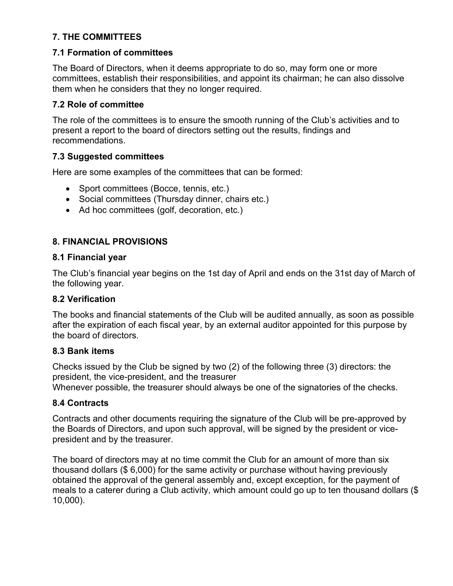# 7. THE COMMITTEES

#### 7.1 Formation of committees

The Board of Directors, when it deems appropriate to do so, may form one or more committees, establish their responsibilities, and appoint its chairman; he can also dissolve them when he considers that they no longer required.

#### 7.2 Role of committee

The role of the committees is to ensure the smooth running of the Club's activities and to present a report to the board of directors setting out the results, findings and recommendations.

#### 7.3 Suggested committees

Here are some examples of the committees that can be formed:

- Sport committees (Bocce, tennis, etc.)
- Social committees (Thursday dinner, chairs etc.)
- Ad hoc committees (golf, decoration, etc.)

# 8. FINANCIAL PROVISIONS

#### 8.1 Financial year

The Club's financial year begins on the 1st day of April and ends on the 31st day of March of the following year.

#### 8.2 Verification

The books and financial statements of the Club will be audited annually, as soon as possible after the expiration of each fiscal year, by an external auditor appointed for this purpose by the board of directors.

#### 8.3 Bank items

Checks issued by the Club be signed by two (2) of the following three (3) directors: the president, the vice-president, and the treasurer

Whenever possible, the treasurer should always be one of the signatories of the checks.

#### 8.4 Contracts

Contracts and other documents requiring the signature of the Club will be pre-approved by the Boards of Directors, and upon such approval, will be signed by the president or vicepresident and by the treasurer.

The board of directors may at no time commit the Club for an amount of more than six thousand dollars (\$ 6,000) for the same activity or purchase without having previously obtained the approval of the general assembly and, except exception, for the payment of meals to a caterer during a Club activity, which amount could go up to ten thousand dollars (\$ 10,000).